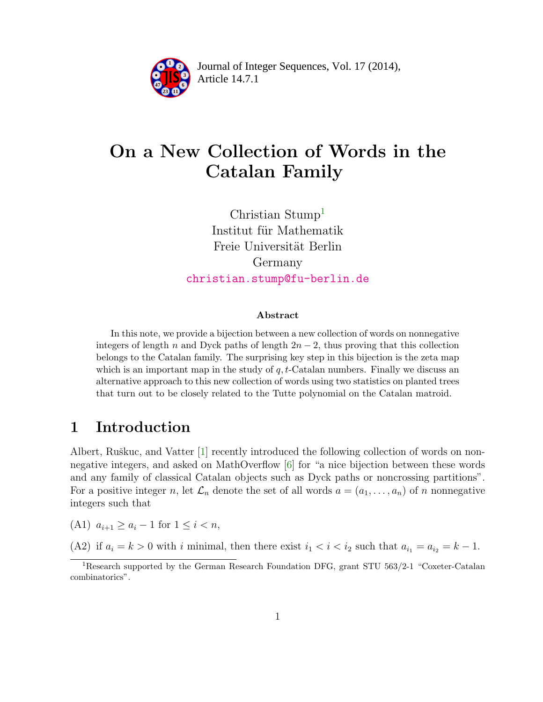

Article 14.7.1 **<sup>2</sup>** Journal of Integer Sequences, Vol. 17 (2014),

# On a New Collection of Words in the Catalan Family

Christian Stump<sup>[1](#page-0-0)</sup> Institut für Mathematik Freie Universität Berlin Germany [christian.stump@fu-berlin.de](mailto:christian.stump@fu-berlin.de)

#### Abstract

In this note, we provide a bijection between a new collection of words on nonnegative integers of length n and Dyck paths of length  $2n-2$ , thus proving that this collection belongs to the Catalan family. The surprising key step in this bijection is the zeta map which is an important map in the study of  $q$ , t-Catalan numbers. Finally we discuss an alternative approach to this new collection of words using two statistics on planted trees that turn out to be closely related to the Tutte polynomial on the Catalan matroid.

## 1 Introduction

Albert, Ruškuc, and Vatter [\[1\]](#page-7-0) recently introduced the following collection of words on nonnegative integers, and asked on MathOverflow [\[6\]](#page-7-1) for "a nice bijection between these words and any family of classical Catalan objects such as Dyck paths or noncrossing partitions". For a positive integer n, let  $\mathcal{L}_n$  denote the set of all words  $a = (a_1, \ldots, a_n)$  of n nonnegative integers such that

(A1)  $a_{i+1} \ge a_i - 1$  for  $1 \le i < n$ ,

(A2) if  $a_i = k > 0$  with i minimal, then there exist  $i_1 < i < i_2$  such that  $a_{i_1} = a_{i_2} = k - 1$ .

<span id="page-0-0"></span><sup>1</sup>Research supported by the German Research Foundation DFG, grant STU 563/2-1 "Coxeter-Catalan combinatorics".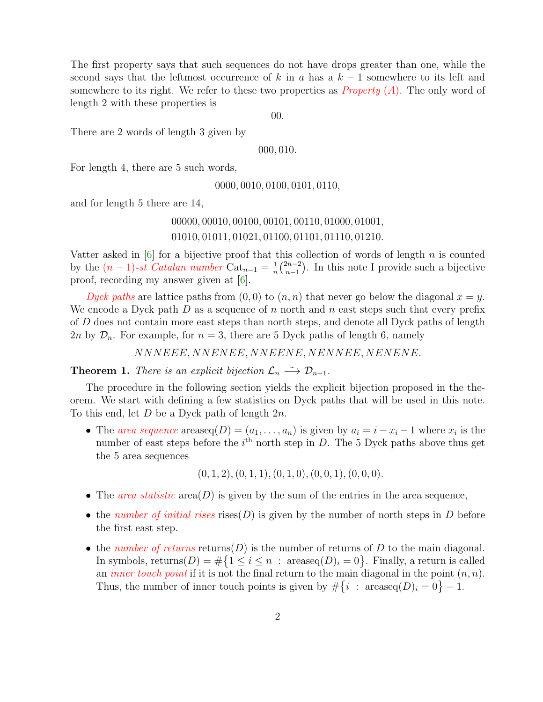The first property says that such sequences do not have drops greater than one, while the second says that the leftmost occurrence of k in a has a  $k-1$  somewhere to its left and somewhere to its right. We refer to these two properties as *Property* (A). The only word of length 2 with these properties is

00.

There are 2 words of length 3 given by

000, 010.

For length 4, there are 5 such words,

0000, 0010, 0100, 0101, 0110,

and for length 5 there are 14,

#### 00000, 00010, 00100, 00101, 00110, 01000, 01001, 01010, 01011, 01021, 01100, 01101, 01110, 01210.

Vatter asked in  $[6]$  for a bijective proof that this collection of words of length n is counted by the  $(n-1)$ -st *Catalan number* Cat<sub>n-1</sub> =  $\frac{1}{n}$  $\frac{1}{n} \binom{2n-2}{n-1}$  $\binom{2n-2}{n-1}$ . In this note I provide such a bijective proof, recording my answer given at [\[6\]](#page-7-1).

*Dyck paths* are lattice paths from  $(0,0)$  to  $(n, n)$  that never go below the diagonal  $x = y$ . We encode a Dyck path D as a sequence of n north and n east steps such that every prefix of D does not contain more east steps than north steps, and denote all Dyck paths of length 2n by  $\mathcal{D}_n$ . For example, for  $n = 3$ , there are 5 Dyck paths of length 6, namely

NNNEEE, NNENEE, NNEENE, NENNEE, NENENE.

**Theorem 1.** *There is an explicit bijection*  $\mathcal{L}_n \longrightarrow \mathcal{D}_{n-1}$ *.* 

The procedure in the following section yields the explicit bijection proposed in the theorem. We start with defining a few statistics on Dyck paths that will be used in this note. To this end, let D be a Dyck path of length 2n.

• The *area sequence* areaseq $(D) = (a_1, \ldots, a_n)$  is given by  $a_i = i - x_i - 1$  where  $x_i$  is the number of east steps before the  $i<sup>th</sup>$  north step in D. The 5 Dyck paths above thus get the 5 area sequences

 $(0, 1, 2), (0, 1, 1), (0, 1, 0), (0, 0, 1), (0, 0, 0).$ 

- The *area statistic* area $(D)$  is given by the sum of the entries in the area sequence,
- the *number of initial rises* rises( $D$ ) is given by the number of north steps in  $D$  before the first east step.
- the *number of returns* returns( $D$ ) is the number of returns of  $D$  to the main diagonal. In symbols, returns $(D) = \#\{1 \leq i \leq n : \text{areaseq}(D)_i = 0\}$ . Finally, a return is called an *inner touch point* if it is not the final return to the main diagonal in the point  $(n, n)$ . Thus, the number of inner touch points is given by  $\#\{i : \text{areaseq}(D)_i = 0\} - 1$ .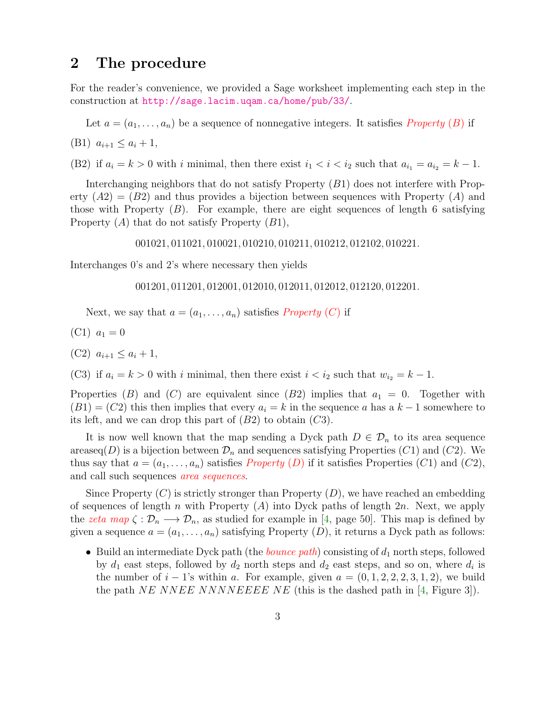#### 2 The procedure

For the reader's convenience, we provided a Sage worksheet implementing each step in the construction at <http://sage.lacim.uqam.ca/home/pub/33/>.

Let  $a = (a_1, \ldots, a_n)$  be a sequence of nonnegative integers. It satisfies *Property* (*B*) if

(B1)  $a_{i+1} \leq a_i + 1$ ,

(B2) if  $a_i = k > 0$  with i minimal, then there exist  $i_1 < i < i_2$  such that  $a_{i_1} = a_{i_2} = k - 1$ .

Interchanging neighbors that do not satisfy Property (B1) does not interfere with Property  $(A2) = (B2)$  and thus provides a bijection between sequences with Property  $(A)$  and those with Property  $(B)$ . For example, there are eight sequences of length 6 satisfying Property  $(A)$  that do not satisfy Property  $(B1)$ ,

001021, 011021, 010021, 010210, 010211, 010212, 012102, 010221.

Interchanges 0's and 2's where necessary then yields

001201, 011201, 012001, 012010, 012011, 012012, 012120, 012201.

Next, we say that  $a = (a_1, \ldots, a_n)$  satisfies *Property* (C) if

- (C1)  $a_1 = 0$
- (C2)  $a_{i+1} \leq a_i + 1$ ,

(C3) if  $a_i = k > 0$  with i minimal, then there exist  $i < i_2$  such that  $w_{i_2} = k - 1$ .

Properties (B) and (C) are equivalent since (B2) implies that  $a_1 = 0$ . Together with  $(B1) = (C2)$  this then implies that every  $a_i = k$  in the sequence a has a  $k-1$  somewhere to its left, and we can drop this part of  $(B2)$  to obtain  $(C3)$ .

It is now well known that the map sending a Dyck path  $D \in \mathcal{D}_n$  to its area sequence areaseq(D) is a bijection between  $\mathcal{D}_n$  and sequences satisfying Properties (C1) and (C2). We thus say that  $a = (a_1, \ldots, a_n)$  satisfies *Property* (D) if it satisfies Properties (C1) and (C2), and call such sequences *area sequences*.

Since Property  $(C)$  is strictly stronger than Property  $(D)$ , we have reached an embedding of sequences of length n with Property  $(A)$  into Dyck paths of length 2n. Next, we apply the *zeta map*  $\zeta : \mathcal{D}_n \longrightarrow \mathcal{D}_n$ , as studied for example in [\[4,](#page-7-2) page 50]. This map is defined by given a sequence  $a = (a_1, \ldots, a_n)$  satisfying Property  $(D)$ , it returns a Dyck path as follows:

• Build an intermediate Dyck path (the *bounce path*) consisting of  $d_1$  north steps, followed by  $d_1$  east steps, followed by  $d_2$  north steps and  $d_2$  east steps, and so on, where  $d_i$  is the number of  $i - 1$ 's within a. For example, given  $a = (0, 1, 2, 2, 2, 3, 1, 2)$ , we build the path NE NNEE NNNNEEEE NE (this is the dashed path in  $[4,$  Figure 3).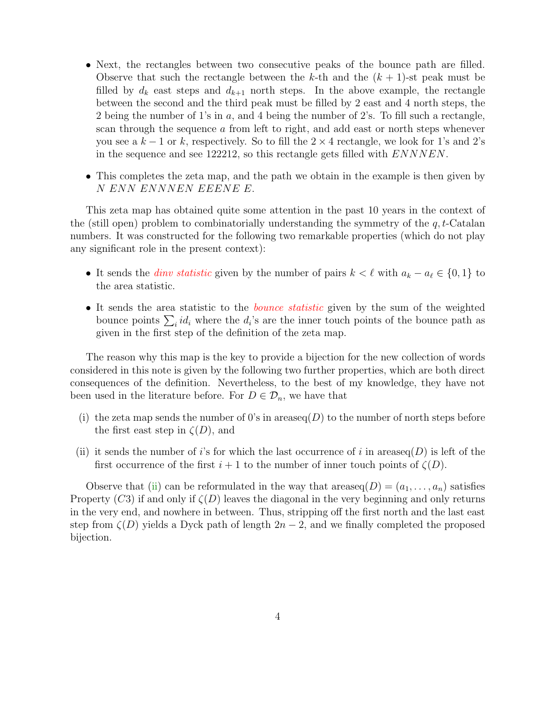- Next, the rectangles between two consecutive peaks of the bounce path are filled. Observe that such the rectangle between the k-th and the  $(k + 1)$ -st peak must be filled by  $d_k$  east steps and  $d_{k+1}$  north steps. In the above example, the rectangle between the second and the third peak must be filled by 2 east and 4 north steps, the 2 being the number of 1's in a, and 4 being the number of 2's. To fill such a rectangle, scan through the sequence a from left to right, and add east or north steps whenever you see a  $k-1$  or k, respectively. So to fill the  $2 \times 4$  rectangle, we look for 1's and 2's in the sequence and see 122212, so this rectangle gets filled with ENNNEN.
- This completes the zeta map, and the path we obtain in the example is then given by N ENN ENNNEN EEENE E.

This zeta map has obtained quite some attention in the past 10 years in the context of the (still open) problem to combinatorially understanding the symmetry of the  $q, t$ -Catalan numbers. It was constructed for the following two remarkable properties (which do not play any significant role in the present context):

- It sends the *dinv statistic* given by the number of pairs  $k < \ell$  with  $a_k a_\ell \in \{0, 1\}$  to the area statistic.
- It sends the area statistic to the *bounce statistic* given by the sum of the weighted bounce points  $\sum_i id_i$  where the  $d_i$ 's are the inner touch points of the bounce path as given in the first step of the definition of the zeta map.

The reason why this map is the key to provide a bijection for the new collection of words considered in this note is given by the following two further properties, which are both direct consequences of the definition. Nevertheless, to the best of my knowledge, they have not been used in the literature before. For  $D \in \mathcal{D}_n$ , we have that

- (i) the zeta map sends the number of 0's in areaseq(D) to the number of north steps before the first east step in  $\zeta(D)$ , and
- <span id="page-3-0"></span>(ii) it sends the number of i's for which the last occurrence of i in areaseq( $D$ ) is left of the first occurrence of the first  $i + 1$  to the number of inner touch points of  $\zeta(D)$ .

Observe that [\(ii\)](#page-3-0) can be reformulated in the way that areaseq( $D = (a_1, \ldots, a_n)$  satisfies Property (C3) if and only if  $\zeta(D)$  leaves the diagonal in the very beginning and only returns in the very end, and nowhere in between. Thus, stripping off the first north and the last east step from  $\zeta(D)$  yields a Dyck path of length  $2n-2$ , and we finally completed the proposed bijection.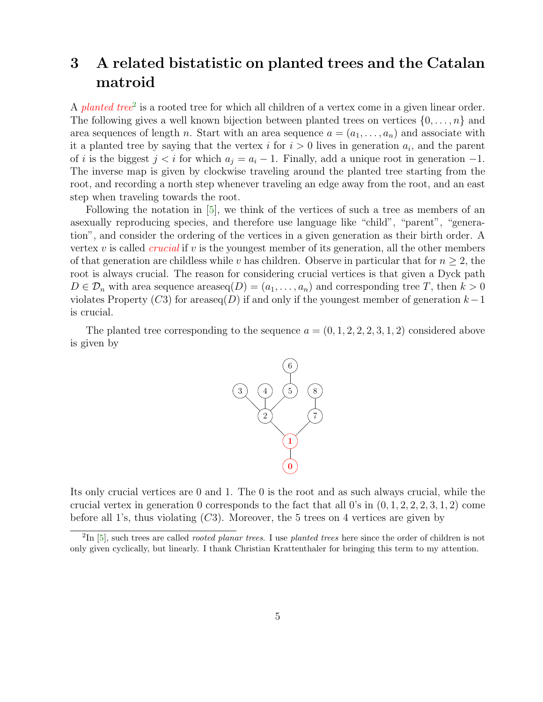# 3 A related bistatistic on planted trees and the Catalan matroid

A *planted tree*<sup>[2](#page-4-0)</sup> is a rooted tree for which all children of a vertex come in a given linear order. The following gives a well known bijection between planted trees on vertices  $\{0, \ldots, n\}$  and area sequences of length n. Start with an area sequence  $a = (a_1, \ldots, a_n)$  and associate with it a planted tree by saying that the vertex  $i$  for  $i > 0$  lives in generation  $a_i$ , and the parent of i is the biggest  $j < i$  for which  $a_j = a_i - 1$ . Finally, add a unique root in generation  $-1$ . The inverse map is given by clockwise traveling around the planted tree starting from the root, and recording a north step whenever traveling an edge away from the root, and an east step when traveling towards the root.

Following the notation in [\[5\]](#page-7-3), we think of the vertices of such a tree as members of an asexually reproducing species, and therefore use language like "child", "parent", "generation", and consider the ordering of the vertices in a given generation as their birth order. A vertex v is called *crucial* if v is the youngest member of its generation, all the other members of that generation are childless while v has children. Observe in particular that for  $n \geq 2$ , the root is always crucial. The reason for considering crucial vertices is that given a Dyck path  $D \in \mathcal{D}_n$  with area sequence areaseq $(D) = (a_1, \ldots, a_n)$  and corresponding tree T, then  $k > 0$ violates Property (C3) for areaseq(D) if and only if the youngest member of generation  $k-1$ is crucial.

The planted tree corresponding to the sequence  $a = (0, 1, 2, 2, 2, 3, 1, 2)$  considered above is given by



Its only crucial vertices are 0 and 1. The 0 is the root and as such always crucial, while the crucial vertex in generation 0 corresponds to the fact that all 0's in  $(0, 1, 2, 2, 2, 3, 1, 2)$  come before all 1's, thus violating  $(C3)$ . Moreover, the 5 trees on 4 vertices are given by

<span id="page-4-0"></span> ${}^{2}\text{In}$  [\[5\]](#page-7-3), such trees are called *rooted planar trees*. I use *planted trees* here since the order of children is not only given cyclically, but linearly. I thank Christian Krattenthaler for bringing this term to my attention.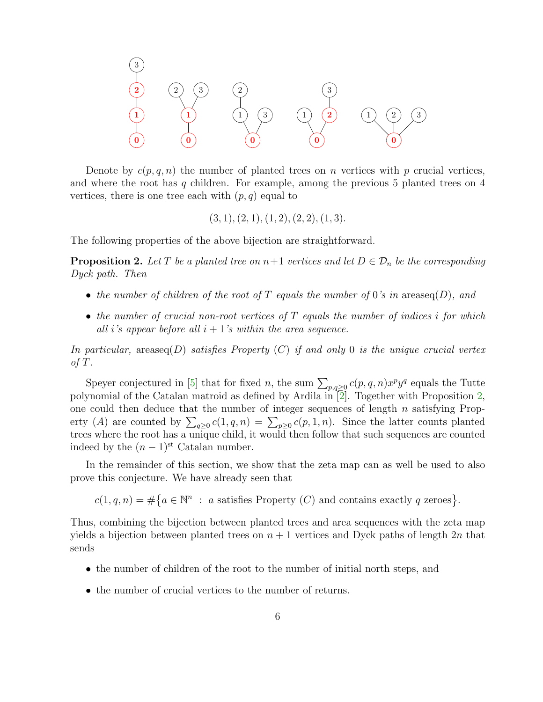

Denote by  $c(p, q, n)$  the number of planted trees on n vertices with p crucial vertices, and where the root has  $q$  children. For example, among the previous 5 planted trees on  $4$ vertices, there is one tree each with  $(p, q)$  equal to

$$
(3, 1), (2, 1), (1, 2), (2, 2), (1, 3).
$$

<span id="page-5-0"></span>The following properties of the above bijection are straightforward.

**Proposition 2.** Let T be a planted tree on  $n+1$  vertices and let  $D \in \mathcal{D}_n$  be the corresponding *Dyck path. Then*

- *the number of children of the root of* T *equals the number of* 0*'s in* areaseq(D)*, and*
- *the number of crucial non-root vertices of* T *equals the number of indices* i *for which all i*'s appear before all  $i + 1$ 's within the area sequence.

*In particular,* areaseq(D) *satisfies Property* (C) *if and only* 0 *is the unique crucial vertex of* T*.*

Speyer conjectured in [\[5\]](#page-7-3) that for fixed n, the sum  $\sum_{p,q\geq 0} c(p,q,n)x^p y^q$  equals the Tutte polynomial of the Catalan matroid as defined by Ardila in [\[2\]](#page-7-4). Together with Proposition [2,](#page-5-0) one could then deduce that the number of integer sequences of length  $n$  satisfying Property (A) are counted by  $\sum_{q\geq 0} c(1,q,n) = \sum_{p\geq 0} c(p,1,n)$ . Since the latter counts planted trees where the root has a unique child, it would then follow that such sequences are counted indeed by the  $(n-1)$ <sup>st</sup> Catalan number.

In the remainder of this section, we show that the zeta map can as well be used to also prove this conjecture. We have already seen that

 $c(1,q,n) = \#\{a \in \mathbb{N}^n : a \text{ satisfies Property } (C) \text{ and contains exactly } q \text{ zeroes}\}.$ 

Thus, combining the bijection between planted trees and area sequences with the zeta map yields a bijection between planted trees on  $n + 1$  vertices and Dyck paths of length  $2n$  that sends

- the number of children of the root to the number of initial north steps, and
- the number of crucial vertices to the number of returns.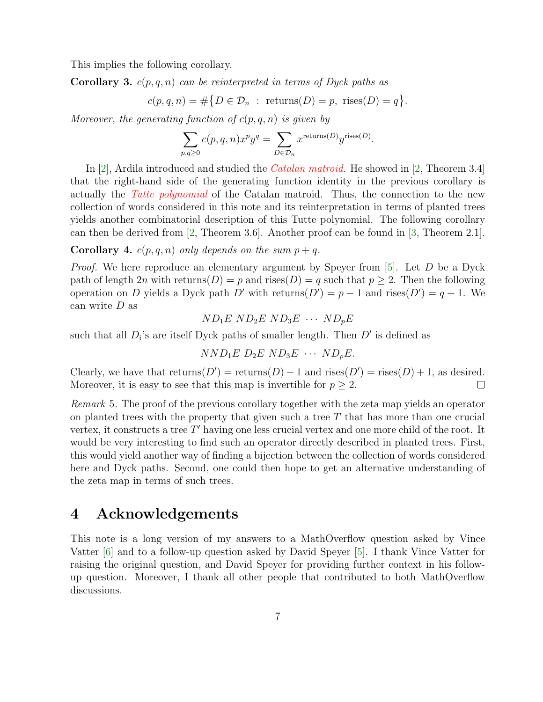This implies the following corollary.

Corollary 3. c(p, q, n) *can be reinterpreted in terms of Dyck paths as*

$$
c(p,q,n) = \#\{D \in \mathcal{D}_n : \text{returns}(D) = p, \text{ rises}(D) = q\}.
$$

*Moreover, the generating function of* c(p, q, n) *is given by*

$$
\sum_{p,q\geq 0} c(p,q,n)x^p y^q = \sum_{D\in \mathcal{D}_n} x^{\text{returns}(D)} y^{\text{rises}(D)}.
$$

In [\[2\]](#page-7-4), Ardila introduced and studied the *Catalan matroid*. He showed in [\[2,](#page-7-4) Theorem 3.4] that the right-hand side of the generating function identity in the previous corollary is actually the *Tutte polynomial* of the Catalan matroid. Thus, the connection to the new collection of words considered in this note and its reinterpretation in terms of planted trees yields another combinatorial description of this Tutte polynomial. The following corollary can then be derived from [\[2,](#page-7-4) Theorem 3.6]. Another proof can be found in [\[3,](#page-7-5) Theorem 2.1].

**Corollary 4.**  $c(p,q,n)$  *only depends on the sum*  $p+q$ *.* 

*Proof.* We here reproduce an elementary argument by Speyer from [\[5\]](#page-7-3). Let D be a Dyck path of length  $2n$  with returns(D) = p and rises(D) = q such that  $p > 2$ . Then the following operation on D yields a Dyck path D' with returns $(D') = p - 1$  and rises $(D') = q + 1$ . We can write  $D$  as

$$
ND_1E\ ND_2E\ ND_3E\ \cdots\ ND_pE
$$

such that all  $D_i$ 's are itself Dyck paths of smaller length. Then  $D'$  is defined as

$$
NND_1E D_2E ND_3E \cdots ND_pE.
$$

Clearly, we have that  $returns(D') = returns(D) - 1$  and  $rises(D') = rises(D) + 1$ , as desired. Moreover, it is easy to see that this map is invertible for  $p \geq 2$ .  $\Box$ 

*Remark* 5*.* The proof of the previous corollary together with the zeta map yields an operator on planted trees with the property that given such a tree  $T$  that has more than one crucial vertex, it constructs a tree  $T'$  having one less crucial vertex and one more child of the root. It would be very interesting to find such an operator directly described in planted trees. First, this would yield another way of finding a bijection between the collection of words considered here and Dyck paths. Second, one could then hope to get an alternative understanding of the zeta map in terms of such trees.

### 4 Acknowledgements

This note is a long version of my answers to a MathOverflow question asked by Vince Vatter [\[6\]](#page-7-1) and to a follow-up question asked by David Speyer [\[5\]](#page-7-3). I thank Vince Vatter for raising the original question, and David Speyer for providing further context in his followup question. Moreover, I thank all other people that contributed to both MathOverflow discussions.